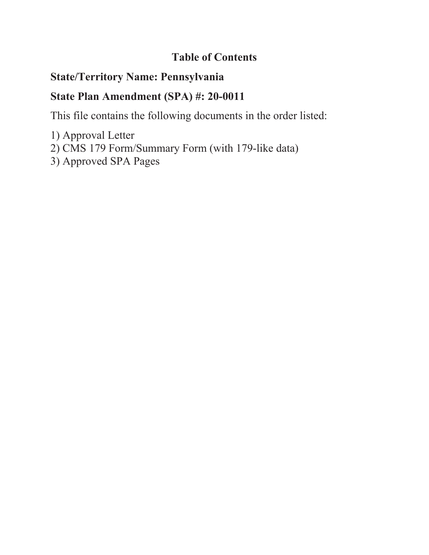## **Table of Contents**

# **State/Territory Name: Pennsylvania**

# **State Plan Amendment (SPA) #: 20-0011**

This file contains the following documents in the order listed:

- 1) Approval Letter
- 2) CMS 179 Form/Summary Form (with 179-like data)
- 3) Approved SPA Pages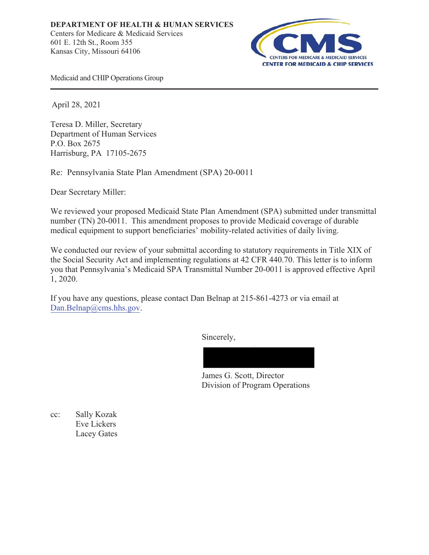

Medicaid and CHIP Operations Group

April 28, 2021

Teresa D. Miller, Secretary Department of Human Services P.O. Box 2675 Harrisburg, PA 17105-2675

Re: Pennsylvania State Plan Amendment (SPA) 20-0011

Dear Secretary Miller:

We reviewed your proposed Medicaid State Plan Amendment (SPA) submitted under transmittal number (TN) 20-0011. This amendment proposes to provide Medicaid coverage of durable medical equipment to support beneficiaries' mobility-related activities of daily living.

We conducted our review of your submittal according to statutory requirements in Title XIX of the Social Security Act and implementing regulations at 42 CFR 440.70. This letter is to inform you that Pennsylvania's Medicaid SPA Transmittal Number 20-0011 is approved effective April 1, 2020.

If you have any questions, please contact Dan Belnap at 215-861-4273 or via email at Dan.Belnap@cms.hhs.gov.

Sincerely,



James G. Scott, Director Division of Program Operations

cc: Sally Kozak Eve Lickers Lacey Gates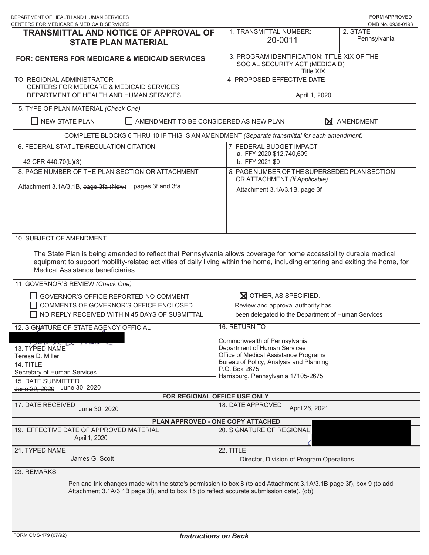|                                                                                                                                                                                                          | <b>FORM APPROVED</b><br>OMB No. 0938-0193                                                                                                                                                                                                                                                                                                            |
|----------------------------------------------------------------------------------------------------------------------------------------------------------------------------------------------------------|------------------------------------------------------------------------------------------------------------------------------------------------------------------------------------------------------------------------------------------------------------------------------------------------------------------------------------------------------|
| 1. TRANSMITTAL NUMBER:<br>TRANSMITTAL AND NOTICE OF APPROVAL OF<br>20-0011                                                                                                                               | 2. STATE<br>Pennsylvania                                                                                                                                                                                                                                                                                                                             |
| 3. PROGRAM IDENTIFICATION: TITLE XIX OF THE<br>SOCIAL SECURITY ACT (MEDICAID)                                                                                                                            |                                                                                                                                                                                                                                                                                                                                                      |
| 4. PROPOSED EFFECTIVE DATE<br>April 1, 2020                                                                                                                                                              |                                                                                                                                                                                                                                                                                                                                                      |
|                                                                                                                                                                                                          |                                                                                                                                                                                                                                                                                                                                                      |
|                                                                                                                                                                                                          | X AMENDMENT                                                                                                                                                                                                                                                                                                                                          |
|                                                                                                                                                                                                          |                                                                                                                                                                                                                                                                                                                                                      |
| 7. FEDERAL BUDGET IMPACT<br>a. FFY 2020 \$12,740,609                                                                                                                                                     |                                                                                                                                                                                                                                                                                                                                                      |
|                                                                                                                                                                                                          |                                                                                                                                                                                                                                                                                                                                                      |
| OR ATTACHMENT (If Applicable)<br>Attachment 3.1A/3.1B, page 3f                                                                                                                                           |                                                                                                                                                                                                                                                                                                                                                      |
| equipment to support mobility-related activities of daily living within the home, including entering and exiting the home, for                                                                           |                                                                                                                                                                                                                                                                                                                                                      |
|                                                                                                                                                                                                          |                                                                                                                                                                                                                                                                                                                                                      |
|                                                                                                                                                                                                          |                                                                                                                                                                                                                                                                                                                                                      |
| <b>X</b> OTHER, AS SPECIFIED:<br>Review and approval authority has<br>been delegated to the Department of Human Services                                                                                 |                                                                                                                                                                                                                                                                                                                                                      |
| 16. RETURN TO                                                                                                                                                                                            |                                                                                                                                                                                                                                                                                                                                                      |
| Commonwealth of Pennsylvania<br>Department of Human Services<br>Office of Medical Assistance Programs<br>Bureau of Policy, Analysis and Planning<br>P.O. Box 2675<br>Harrisburg, Pennsylvania 17105-2675 |                                                                                                                                                                                                                                                                                                                                                      |
| FOR REGIONAL OFFICE USE ONLY                                                                                                                                                                             |                                                                                                                                                                                                                                                                                                                                                      |
| 18. DATE APPROVED<br>April 26, 2021                                                                                                                                                                      |                                                                                                                                                                                                                                                                                                                                                      |
| PLAN APPROVED - ONE COPY ATTACHED                                                                                                                                                                        |                                                                                                                                                                                                                                                                                                                                                      |
| 20. SIGNATURE OF REGIONAL                                                                                                                                                                                |                                                                                                                                                                                                                                                                                                                                                      |
| 22. TITLE<br>Director, Division of Program Operations                                                                                                                                                    |                                                                                                                                                                                                                                                                                                                                                      |
|                                                                                                                                                                                                          | <b>Title XIX</b><br>AMENDMENT TO BE CONSIDERED AS NEW PLAN<br>COMPLETE BLOCKS 6 THRU 10 IF THIS IS AN AMENDMENT (Separate transmittal for each amendment)<br>b. FFY 2021 \$0<br>8. PAGE NUMBER OF THE SUPERSEDED PLAN SECTION<br>The State Plan is being amended to reflect that Pennsylvania allows coverage for home accessibility durable medical |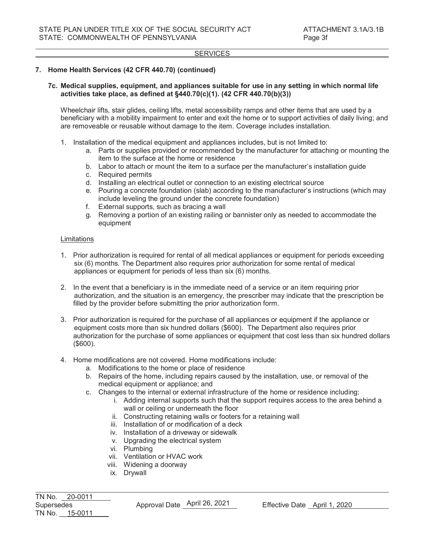## SERVICES

## **7. Home Health Services (42 CFR 440.70) (continued)**

### **7c. Medical supplies, equipment, and appliances suitable for use in any setting in which normal life activities take place, as defined at §440.70(c)(1). (42 CFR 440.70(b)(3))**

Wheelchair lifts, stair glides, ceiling lifts, metal accessibility ramps and other items that are used by a beneficiary with a mobility impairment to enter and exit the home or to support activities of daily living; and are removeable or reusable without damage to the item. Coverage includes installation.

- 1. Installation of the medical equipment and appliances includes, but is not limited to:
	- a. Parts or supplies provided or recommended by the manufacturer for attaching or mounting the item to the surface at the home or residence
	- b. Labor to attach or mount the item to a surface per the manufacturer's installation guide
	- c. Required permits
	- d. Installing an electrical outlet or connection to an existing electrical source
	- e. Pouring a concrete foundation (slab) according to the manufacturer's instructions (which may include leveling the ground under the concrete foundation)
	- f. External supports, such as bracing a wall
	- g. Removing a portion of an existing railing or bannister only as needed to accommodate the equipment

#### Limitations

- 1. Prior authorization is required for rental of all medical appliances or equipment for periods exceeding six (6) months. The Department also requires prior authorization for some rental of medical appliances or equipment for periods of less than six (6) months.
- 2. In the event that a beneficiary is in the immediate need of a service or an item requiring prior authorization, and the situation is an emergency, the prescriber may indicate that the prescription be filled by the provider before submitting the prior authorization form.
- 3. Prior authorization is required for the purchase of all appliances or equipment if the appliance or equipment costs more than six hundred dollars (\$600). The Department also requires prior authorization for the purchase of some appliances or equipment that cost less than six hundred dollars (\$600).
- 4. Home modifications are not covered. Home modifications include:
	- a. Modifications to the home or place of residence
	- b. Repairs of the home, including repairs caused by the installation, use, or removal of the medical equipment or appliance; and
	- c. Changes to the internal or external infrastructure of the home or residence including:
		- i. Adding internal supports such that the support requires access to the area behind a wall or ceiling or underneath the floor
		- ii. Constructing retaining walls or footers for a retaining wall
		- iii. Installation of or modification of a deck
		- iv. Installation of a driveway or sidewalk
		- v. Upgrading the electrical system
		- vi. Plumbing
		- vii. Ventilation or HVAC work
		- viii. Widening a doorway
		- ix. Drywall